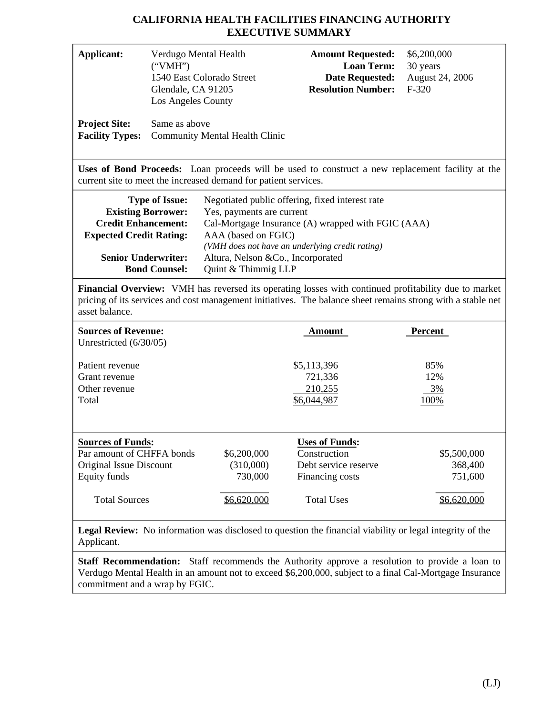# **CALIFORNIA HEALTH FACILITIES FINANCING AUTHORITY EXECUTIVE SUMMARY**

| <b>Applicant:</b><br><b>Project Site:</b><br><b>Facility Types:</b>                                                                                                                                                                                                                                                                                                                                                                                  | Verdugo Mental Health<br>("VMH")<br>1540 East Colorado Street<br>Glendale, CA 91205<br>Los Angeles County<br>Same as above<br><b>Community Mental Health Clinic</b> |                                                                 | <b>Amount Requested:</b><br><b>Loan Term:</b><br><b>Date Requested:</b><br><b>Resolution Number:</b>  | \$6,200,000<br>30 years<br>August 24, 2006<br>$F-320$ |  |  |
|------------------------------------------------------------------------------------------------------------------------------------------------------------------------------------------------------------------------------------------------------------------------------------------------------------------------------------------------------------------------------------------------------------------------------------------------------|---------------------------------------------------------------------------------------------------------------------------------------------------------------------|-----------------------------------------------------------------|-------------------------------------------------------------------------------------------------------|-------------------------------------------------------|--|--|
|                                                                                                                                                                                                                                                                                                                                                                                                                                                      |                                                                                                                                                                     | current site to meet the increased demand for patient services. | Uses of Bond Proceeds: Loan proceeds will be used to construct a new replacement facility at the      |                                                       |  |  |
| <b>Type of Issue:</b><br>Negotiated public offering, fixed interest rate<br><b>Existing Borrower:</b><br>Yes, payments are current<br><b>Credit Enhancement:</b><br>Cal-Mortgage Insurance (A) wrapped with FGIC (AAA)<br><b>Expected Credit Rating:</b><br>AAA (based on FGIC)<br>(VMH does not have an underlying credit rating)<br><b>Senior Underwriter:</b><br>Altura, Nelson &Co., Incorporated<br><b>Bond Counsel:</b><br>Quint & Thimmig LLP |                                                                                                                                                                     |                                                                 |                                                                                                       |                                                       |  |  |
| Financial Overview: VMH has reversed its operating losses with continued profitability due to market<br>pricing of its services and cost management initiatives. The balance sheet remains strong with a stable net<br>asset balance.                                                                                                                                                                                                                |                                                                                                                                                                     |                                                                 |                                                                                                       |                                                       |  |  |
| <b>Sources of Revenue:</b><br>Unrestricted (6/30/05)                                                                                                                                                                                                                                                                                                                                                                                                 |                                                                                                                                                                     |                                                                 | <u>Amount</u>                                                                                         | <b>Percent</b>                                        |  |  |
| Patient revenue<br>Grant revenue<br>Other revenue<br>Total                                                                                                                                                                                                                                                                                                                                                                                           |                                                                                                                                                                     |                                                                 | \$5,113,396<br>721,336<br>210,255<br>\$6,044,987                                                      | 85%<br>12%<br>3%<br>100%                              |  |  |
| <b>Sources of Funds:</b><br>Par amount of CHFFA bonds<br>Original Issue Discount<br>Equity funds<br><b>Total Sources</b>                                                                                                                                                                                                                                                                                                                             |                                                                                                                                                                     | \$6,200,000<br>(310,000)<br>730,000<br>\$6,620,000              | <b>Uses of Funds:</b><br>Construction<br>Debt service reserve<br>Financing costs<br><b>Total Uses</b> | \$5,500,000<br>368,400<br>751,600<br>\$6,620,000      |  |  |
|                                                                                                                                                                                                                                                                                                                                                                                                                                                      |                                                                                                                                                                     |                                                                 |                                                                                                       |                                                       |  |  |

**Legal Review:** No information was disclosed to question the financial viability or legal integrity of the Applicant.

**Staff Recommendation:** Staff recommends the Authority approve a resolution to provide a loan to Verdugo Mental Health in an amount not to exceed \$6,200,000, subject to a final Cal-Mortgage Insurance commitment and a wrap by FGIC.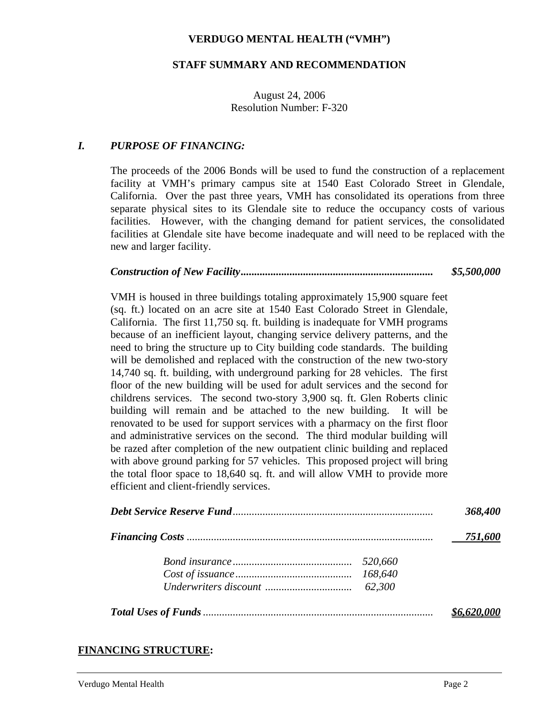### **VERDUGO MENTAL HEALTH ("VMH")**

#### **STAFF SUMMARY AND RECOMMENDATION**

### August 24, 2006 Resolution Number: F-320

### *I. PURPOSE OF FINANCING:*

The proceeds of the 2006 Bonds will be used to fund the construction of a replacement facility at VMH's primary campus site at 1540 East Colorado Street in Glendale, California. Over the past three years, VMH has consolidated its operations from three separate physical sites to its Glendale site to reduce the occupancy costs of various facilities. However, with the changing demand for patient services, the consolidated facilities at Glendale site have become inadequate and will need to be replaced with the new and larger facility.

#### *Construction of New Facility....................................................................... \$5,500,000*

VMH is housed in three buildings totaling approximately 15,900 square feet (sq. ft.) located on an acre site at 1540 East Colorado Street in Glendale, California. The first 11,750 sq. ft. building is inadequate for VMH programs because of an inefficient layout, changing service delivery patterns, and the need to bring the structure up to City building code standards. The building will be demolished and replaced with the construction of the new two-story 14,740 sq. ft. building, with underground parking for 28 vehicles. The first floor of the new building will be used for adult services and the second for childrens services. The second two-story 3,900 sq. ft. Glen Roberts clinic building will remain and be attached to the new building. It will be renovated to be used for support services with a pharmacy on the first floor and administrative services on the second. The third modular building will be razed after completion of the new outpatient clinic building and replaced with above ground parking for 57 vehicles. This proposed project will bring the total floor space to 18,640 sq. ft. and will allow VMH to provide more efficient and client-friendly services.

|         | 751,600 |
|---------|---------|
| 520,660 |         |
|         |         |
|         |         |
|         |         |

## **FINANCING STRUCTURE:**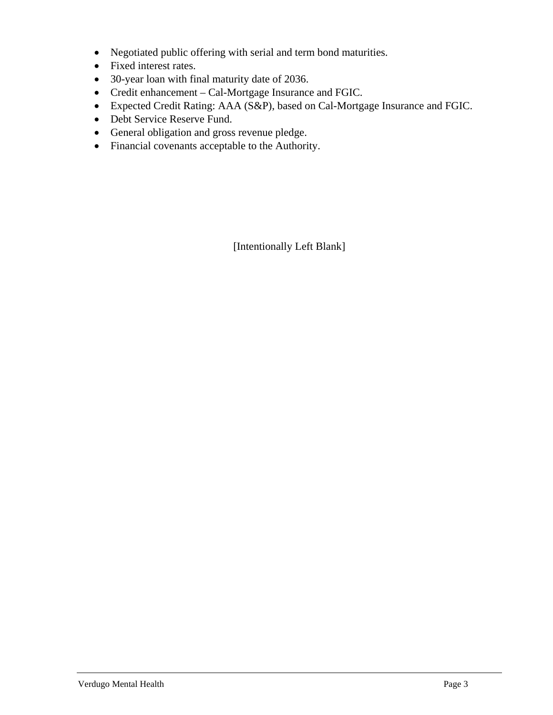- Negotiated public offering with serial and term bond maturities.
- Fixed interest rates.
- 30-year loan with final maturity date of 2036.
- Credit enhancement Cal-Mortgage Insurance and FGIC.
- Expected Credit Rating: AAA (S&P), based on Cal-Mortgage Insurance and FGIC.
- Debt Service Reserve Fund.
- General obligation and gross revenue pledge.
- Financial covenants acceptable to the Authority.

[Intentionally Left Blank]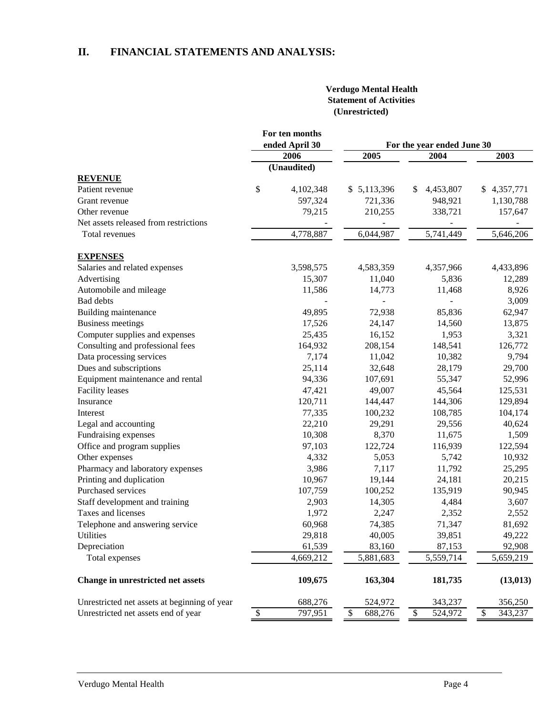# **II. FINANCIAL STATEMENTS AND ANALYSIS:**

#### **Verdugo Mental Health Statement of Activities (Unrestricted)**

|                                              | For ten months                |               |                            |                 |  |
|----------------------------------------------|-------------------------------|---------------|----------------------------|-----------------|--|
|                                              | ended April 30                |               | For the year ended June 30 |                 |  |
|                                              | 2006                          | 2005          | 2004                       | 2003            |  |
|                                              | (Unaudited)                   |               |                            |                 |  |
| <b>REVENUE</b>                               |                               |               |                            |                 |  |
| Patient revenue                              | \$<br>4,102,348               | \$5,113,396   | 4,453,807<br>S             | 4,357,771<br>\$ |  |
| Grant revenue                                | 597,324                       | 721,336       | 948,921                    | 1,130,788       |  |
| Other revenue                                | 79,215                        | 210,255       | 338,721                    | 157,647         |  |
| Net assets released from restrictions        |                               |               |                            |                 |  |
| Total revenues                               | 4,778,887                     | 6,044,987     | 5,741,449                  | 5,646,206       |  |
| <b>EXPENSES</b>                              |                               |               |                            |                 |  |
| Salaries and related expenses                | 3,598,575                     | 4,583,359     | 4,357,966                  | 4,433,896       |  |
| Advertising                                  | 15,307                        | 11,040        | 5,836                      | 12,289          |  |
| Automobile and mileage                       | 11,586                        | 14,773        | 11,468                     | 8,926           |  |
| Bad debts                                    |                               |               |                            | 3,009           |  |
| Building maintenance                         | 49,895                        | 72,938        | 85,836                     | 62,947          |  |
| <b>Business meetings</b>                     | 17,526                        | 24,147        | 14,560                     | 13,875          |  |
| Computer supplies and expenses               | 25,435                        | 16,152        | 1,953                      | 3,321           |  |
| Consulting and professional fees             | 164,932                       | 208,154       | 148,541                    | 126,772         |  |
| Data processing services                     | 7,174                         | 11,042        | 10,382                     | 9,794           |  |
| Dues and subscriptions                       | 25,114                        | 32,648        | 28,179                     | 29,700          |  |
| Equipment maintenance and rental             | 94,336                        | 107,691       | 55,347                     | 52,996          |  |
| <b>Facility</b> leases                       | 47,421                        | 49,007        | 45,564                     | 125,531         |  |
| Insurance                                    | 120,711                       | 144,447       | 144,306                    | 129,894         |  |
| Interest                                     | 77,335                        | 100,232       | 108,785                    | 104,174         |  |
| Legal and accounting                         | 22,210                        | 29,291        | 29,556                     | 40,624          |  |
| Fundraising expenses                         | 10,308                        | 8,370         | 11,675                     | 1,509           |  |
| Office and program supplies                  | 97,103                        | 122,724       | 116,939                    | 122,594         |  |
| Other expenses                               | 4,332                         | 5,053         | 5,742                      | 10,932          |  |
| Pharmacy and laboratory expenses             | 3,986                         | 7,117         | 11,792                     | 25,295          |  |
| Printing and duplication                     | 10,967                        | 19,144        | 24,181                     | 20,215          |  |
| Purchased services                           | 107,759                       | 100,252       | 135,919                    | 90,945          |  |
| Staff development and training               | 2,903                         | 14,305        | 4,484                      | 3,607           |  |
| Taxes and licenses                           | 1,972                         | 2,247         | 2,352                      | 2,552           |  |
| Telephone and answering service              | 60,968                        | 74,385        | 71,347                     | 81,692          |  |
| Utilities                                    | 29,818                        | 40,005        | 39,851                     | 49,222          |  |
| Depreciation                                 | 61,539                        | 83,160        | 87,153                     | 92,908          |  |
| Total expenses                               | 4,669,212                     | 5,881,683     | 5,559,714                  | 5,659,219       |  |
| Change in unrestricted net assets            | 109,675                       | 163,304       | 181,735                    | (13, 013)       |  |
| Unrestricted net assets at beginning of year | 688,276                       | 524,972       | 343,237                    | 356,250         |  |
| Unrestricted net assets end of year          | $\pmb{\mathbb{S}}$<br>797,951 | \$<br>688,276 | 524,972<br>\$              | \$<br>343,237   |  |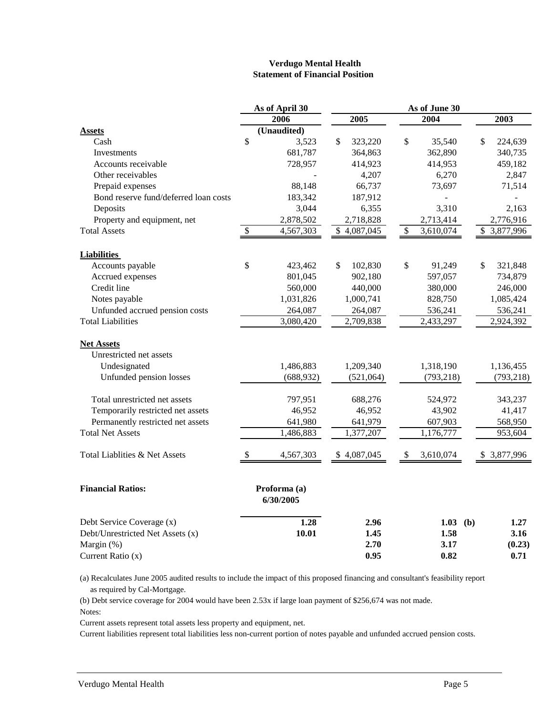#### **Verdugo Mental Health Statement of Financial Position**

| 2006<br>2005<br>2004<br>2003<br>(Unaudited)<br><b>Assets</b><br>\$<br>$\mathcal{S}$<br>\$<br>\$<br>Cash<br>3,523<br>323,220<br>35,540<br>224,639<br>681,787<br>362,890<br>340,735<br>Investments<br>364,863<br>728,957<br>414,923<br>459,182<br>Accounts receivable<br>414,953<br>Other receivables<br>4,207<br>6,270<br>2,847<br>88,148<br>66,737<br>73,697<br>71,514<br>Prepaid expenses<br>Bond reserve fund/deferred loan costs<br>183,342<br>187,912<br>Deposits<br>6,355<br>3,310<br>3,044<br>2,163<br>Property and equipment, net<br>2,878,502<br>2,718,828<br>2,776,916<br>2,713,414<br>$\overline{\mathcal{S}}$<br>4,567,303<br>$\overline{\$}$<br>$\overline{\$}$<br>3,877,996<br><b>Total Assets</b><br>\$4,087,045<br>3,610,074<br><b>Liabilities</b><br>Accounts payable<br>\$<br>423,462<br>\$<br>102,830<br>\$<br>91,249<br>\$<br>321,848<br>Accrued expenses<br>801,045<br>902,180<br>597,057<br>734,879<br>Credit line<br>560,000<br>440,000<br>380,000<br>246,000<br>Notes payable<br>1,031,826<br>1,000,741<br>828,750<br>1,085,424<br>Unfunded accrued pension costs<br>264,087<br>264,087<br>536,241<br>536,241<br><b>Total Liabilities</b><br>3,080,420<br>2,709,838<br>2,433,297<br>2,924,392<br><b>Net Assets</b><br>Unrestricted net assets<br>1,209,340<br>Undesignated<br>1,486,883<br>1,318,190<br>1,136,455<br>Unfunded pension losses<br>(688, 932)<br>(521,064)<br>(793, 218)<br>(793, 218)<br>Total unrestricted net assets<br>797,951<br>688,276<br>524,972<br>343,237<br>Temporarily restricted net assets<br>46,952<br>43,902<br>46,952<br>41,417<br>Permanently restricted net assets<br>641,980<br>641,979<br>607,903<br>568,950<br><b>Total Net Assets</b><br>1,486,883<br>1,377,207<br>1,176,777<br>953,604<br>Total Liablities & Net Assets<br>\$<br>4,567,303<br>\$4,087,045<br>\$<br>3,610,074<br>\$3,877,996<br><b>Financial Ratios:</b><br>Proforma (a)<br>6/30/2005<br>Debt Service Coverage (x)<br>1.28<br>2.96<br>1.03 (b)<br>1.27<br>Debt/Unrestricted Net Assets (x)<br>10.01<br>1.58<br>3.16<br>1.45<br>Margin (%)<br>2.70<br>3.17<br>(0.23)<br>Current Ratio (x)<br>0.95<br>0.82<br>0.71 |  | As of April 30 |  | As of June 30 |  |  |  |  |  |
|---------------------------------------------------------------------------------------------------------------------------------------------------------------------------------------------------------------------------------------------------------------------------------------------------------------------------------------------------------------------------------------------------------------------------------------------------------------------------------------------------------------------------------------------------------------------------------------------------------------------------------------------------------------------------------------------------------------------------------------------------------------------------------------------------------------------------------------------------------------------------------------------------------------------------------------------------------------------------------------------------------------------------------------------------------------------------------------------------------------------------------------------------------------------------------------------------------------------------------------------------------------------------------------------------------------------------------------------------------------------------------------------------------------------------------------------------------------------------------------------------------------------------------------------------------------------------------------------------------------------------------------------------------------------------------------------------------------------------------------------------------------------------------------------------------------------------------------------------------------------------------------------------------------------------------------------------------------------------------------------------------------------------------------------------------------------------------------------------------------------------------------------|--|----------------|--|---------------|--|--|--|--|--|
|                                                                                                                                                                                                                                                                                                                                                                                                                                                                                                                                                                                                                                                                                                                                                                                                                                                                                                                                                                                                                                                                                                                                                                                                                                                                                                                                                                                                                                                                                                                                                                                                                                                                                                                                                                                                                                                                                                                                                                                                                                                                                                                                             |  |                |  |               |  |  |  |  |  |
|                                                                                                                                                                                                                                                                                                                                                                                                                                                                                                                                                                                                                                                                                                                                                                                                                                                                                                                                                                                                                                                                                                                                                                                                                                                                                                                                                                                                                                                                                                                                                                                                                                                                                                                                                                                                                                                                                                                                                                                                                                                                                                                                             |  |                |  |               |  |  |  |  |  |
|                                                                                                                                                                                                                                                                                                                                                                                                                                                                                                                                                                                                                                                                                                                                                                                                                                                                                                                                                                                                                                                                                                                                                                                                                                                                                                                                                                                                                                                                                                                                                                                                                                                                                                                                                                                                                                                                                                                                                                                                                                                                                                                                             |  |                |  |               |  |  |  |  |  |
|                                                                                                                                                                                                                                                                                                                                                                                                                                                                                                                                                                                                                                                                                                                                                                                                                                                                                                                                                                                                                                                                                                                                                                                                                                                                                                                                                                                                                                                                                                                                                                                                                                                                                                                                                                                                                                                                                                                                                                                                                                                                                                                                             |  |                |  |               |  |  |  |  |  |
|                                                                                                                                                                                                                                                                                                                                                                                                                                                                                                                                                                                                                                                                                                                                                                                                                                                                                                                                                                                                                                                                                                                                                                                                                                                                                                                                                                                                                                                                                                                                                                                                                                                                                                                                                                                                                                                                                                                                                                                                                                                                                                                                             |  |                |  |               |  |  |  |  |  |
|                                                                                                                                                                                                                                                                                                                                                                                                                                                                                                                                                                                                                                                                                                                                                                                                                                                                                                                                                                                                                                                                                                                                                                                                                                                                                                                                                                                                                                                                                                                                                                                                                                                                                                                                                                                                                                                                                                                                                                                                                                                                                                                                             |  |                |  |               |  |  |  |  |  |
|                                                                                                                                                                                                                                                                                                                                                                                                                                                                                                                                                                                                                                                                                                                                                                                                                                                                                                                                                                                                                                                                                                                                                                                                                                                                                                                                                                                                                                                                                                                                                                                                                                                                                                                                                                                                                                                                                                                                                                                                                                                                                                                                             |  |                |  |               |  |  |  |  |  |
|                                                                                                                                                                                                                                                                                                                                                                                                                                                                                                                                                                                                                                                                                                                                                                                                                                                                                                                                                                                                                                                                                                                                                                                                                                                                                                                                                                                                                                                                                                                                                                                                                                                                                                                                                                                                                                                                                                                                                                                                                                                                                                                                             |  |                |  |               |  |  |  |  |  |
|                                                                                                                                                                                                                                                                                                                                                                                                                                                                                                                                                                                                                                                                                                                                                                                                                                                                                                                                                                                                                                                                                                                                                                                                                                                                                                                                                                                                                                                                                                                                                                                                                                                                                                                                                                                                                                                                                                                                                                                                                                                                                                                                             |  |                |  |               |  |  |  |  |  |
|                                                                                                                                                                                                                                                                                                                                                                                                                                                                                                                                                                                                                                                                                                                                                                                                                                                                                                                                                                                                                                                                                                                                                                                                                                                                                                                                                                                                                                                                                                                                                                                                                                                                                                                                                                                                                                                                                                                                                                                                                                                                                                                                             |  |                |  |               |  |  |  |  |  |
|                                                                                                                                                                                                                                                                                                                                                                                                                                                                                                                                                                                                                                                                                                                                                                                                                                                                                                                                                                                                                                                                                                                                                                                                                                                                                                                                                                                                                                                                                                                                                                                                                                                                                                                                                                                                                                                                                                                                                                                                                                                                                                                                             |  |                |  |               |  |  |  |  |  |
|                                                                                                                                                                                                                                                                                                                                                                                                                                                                                                                                                                                                                                                                                                                                                                                                                                                                                                                                                                                                                                                                                                                                                                                                                                                                                                                                                                                                                                                                                                                                                                                                                                                                                                                                                                                                                                                                                                                                                                                                                                                                                                                                             |  |                |  |               |  |  |  |  |  |
|                                                                                                                                                                                                                                                                                                                                                                                                                                                                                                                                                                                                                                                                                                                                                                                                                                                                                                                                                                                                                                                                                                                                                                                                                                                                                                                                                                                                                                                                                                                                                                                                                                                                                                                                                                                                                                                                                                                                                                                                                                                                                                                                             |  |                |  |               |  |  |  |  |  |
|                                                                                                                                                                                                                                                                                                                                                                                                                                                                                                                                                                                                                                                                                                                                                                                                                                                                                                                                                                                                                                                                                                                                                                                                                                                                                                                                                                                                                                                                                                                                                                                                                                                                                                                                                                                                                                                                                                                                                                                                                                                                                                                                             |  |                |  |               |  |  |  |  |  |
|                                                                                                                                                                                                                                                                                                                                                                                                                                                                                                                                                                                                                                                                                                                                                                                                                                                                                                                                                                                                                                                                                                                                                                                                                                                                                                                                                                                                                                                                                                                                                                                                                                                                                                                                                                                                                                                                                                                                                                                                                                                                                                                                             |  |                |  |               |  |  |  |  |  |
|                                                                                                                                                                                                                                                                                                                                                                                                                                                                                                                                                                                                                                                                                                                                                                                                                                                                                                                                                                                                                                                                                                                                                                                                                                                                                                                                                                                                                                                                                                                                                                                                                                                                                                                                                                                                                                                                                                                                                                                                                                                                                                                                             |  |                |  |               |  |  |  |  |  |
|                                                                                                                                                                                                                                                                                                                                                                                                                                                                                                                                                                                                                                                                                                                                                                                                                                                                                                                                                                                                                                                                                                                                                                                                                                                                                                                                                                                                                                                                                                                                                                                                                                                                                                                                                                                                                                                                                                                                                                                                                                                                                                                                             |  |                |  |               |  |  |  |  |  |
|                                                                                                                                                                                                                                                                                                                                                                                                                                                                                                                                                                                                                                                                                                                                                                                                                                                                                                                                                                                                                                                                                                                                                                                                                                                                                                                                                                                                                                                                                                                                                                                                                                                                                                                                                                                                                                                                                                                                                                                                                                                                                                                                             |  |                |  |               |  |  |  |  |  |
|                                                                                                                                                                                                                                                                                                                                                                                                                                                                                                                                                                                                                                                                                                                                                                                                                                                                                                                                                                                                                                                                                                                                                                                                                                                                                                                                                                                                                                                                                                                                                                                                                                                                                                                                                                                                                                                                                                                                                                                                                                                                                                                                             |  |                |  |               |  |  |  |  |  |
|                                                                                                                                                                                                                                                                                                                                                                                                                                                                                                                                                                                                                                                                                                                                                                                                                                                                                                                                                                                                                                                                                                                                                                                                                                                                                                                                                                                                                                                                                                                                                                                                                                                                                                                                                                                                                                                                                                                                                                                                                                                                                                                                             |  |                |  |               |  |  |  |  |  |
|                                                                                                                                                                                                                                                                                                                                                                                                                                                                                                                                                                                                                                                                                                                                                                                                                                                                                                                                                                                                                                                                                                                                                                                                                                                                                                                                                                                                                                                                                                                                                                                                                                                                                                                                                                                                                                                                                                                                                                                                                                                                                                                                             |  |                |  |               |  |  |  |  |  |
|                                                                                                                                                                                                                                                                                                                                                                                                                                                                                                                                                                                                                                                                                                                                                                                                                                                                                                                                                                                                                                                                                                                                                                                                                                                                                                                                                                                                                                                                                                                                                                                                                                                                                                                                                                                                                                                                                                                                                                                                                                                                                                                                             |  |                |  |               |  |  |  |  |  |
|                                                                                                                                                                                                                                                                                                                                                                                                                                                                                                                                                                                                                                                                                                                                                                                                                                                                                                                                                                                                                                                                                                                                                                                                                                                                                                                                                                                                                                                                                                                                                                                                                                                                                                                                                                                                                                                                                                                                                                                                                                                                                                                                             |  |                |  |               |  |  |  |  |  |
|                                                                                                                                                                                                                                                                                                                                                                                                                                                                                                                                                                                                                                                                                                                                                                                                                                                                                                                                                                                                                                                                                                                                                                                                                                                                                                                                                                                                                                                                                                                                                                                                                                                                                                                                                                                                                                                                                                                                                                                                                                                                                                                                             |  |                |  |               |  |  |  |  |  |
|                                                                                                                                                                                                                                                                                                                                                                                                                                                                                                                                                                                                                                                                                                                                                                                                                                                                                                                                                                                                                                                                                                                                                                                                                                                                                                                                                                                                                                                                                                                                                                                                                                                                                                                                                                                                                                                                                                                                                                                                                                                                                                                                             |  |                |  |               |  |  |  |  |  |
|                                                                                                                                                                                                                                                                                                                                                                                                                                                                                                                                                                                                                                                                                                                                                                                                                                                                                                                                                                                                                                                                                                                                                                                                                                                                                                                                                                                                                                                                                                                                                                                                                                                                                                                                                                                                                                                                                                                                                                                                                                                                                                                                             |  |                |  |               |  |  |  |  |  |
|                                                                                                                                                                                                                                                                                                                                                                                                                                                                                                                                                                                                                                                                                                                                                                                                                                                                                                                                                                                                                                                                                                                                                                                                                                                                                                                                                                                                                                                                                                                                                                                                                                                                                                                                                                                                                                                                                                                                                                                                                                                                                                                                             |  |                |  |               |  |  |  |  |  |
|                                                                                                                                                                                                                                                                                                                                                                                                                                                                                                                                                                                                                                                                                                                                                                                                                                                                                                                                                                                                                                                                                                                                                                                                                                                                                                                                                                                                                                                                                                                                                                                                                                                                                                                                                                                                                                                                                                                                                                                                                                                                                                                                             |  |                |  |               |  |  |  |  |  |
|                                                                                                                                                                                                                                                                                                                                                                                                                                                                                                                                                                                                                                                                                                                                                                                                                                                                                                                                                                                                                                                                                                                                                                                                                                                                                                                                                                                                                                                                                                                                                                                                                                                                                                                                                                                                                                                                                                                                                                                                                                                                                                                                             |  |                |  |               |  |  |  |  |  |
|                                                                                                                                                                                                                                                                                                                                                                                                                                                                                                                                                                                                                                                                                                                                                                                                                                                                                                                                                                                                                                                                                                                                                                                                                                                                                                                                                                                                                                                                                                                                                                                                                                                                                                                                                                                                                                                                                                                                                                                                                                                                                                                                             |  |                |  |               |  |  |  |  |  |
|                                                                                                                                                                                                                                                                                                                                                                                                                                                                                                                                                                                                                                                                                                                                                                                                                                                                                                                                                                                                                                                                                                                                                                                                                                                                                                                                                                                                                                                                                                                                                                                                                                                                                                                                                                                                                                                                                                                                                                                                                                                                                                                                             |  |                |  |               |  |  |  |  |  |
|                                                                                                                                                                                                                                                                                                                                                                                                                                                                                                                                                                                                                                                                                                                                                                                                                                                                                                                                                                                                                                                                                                                                                                                                                                                                                                                                                                                                                                                                                                                                                                                                                                                                                                                                                                                                                                                                                                                                                                                                                                                                                                                                             |  |                |  |               |  |  |  |  |  |

(a) Recalculates June 2005 audited results to include the impact of this proposed financing and consultant's feasibility report as required by Cal-Mortgage.

(b) Debt service coverage for 2004 would have been 2.53x if large loan payment of \$256,674 was not made. Notes:

Current assets represent total assets less property and equipment, net.

Current liabilities represent total liabilities less non-current portion of notes payable and unfunded accrued pension costs.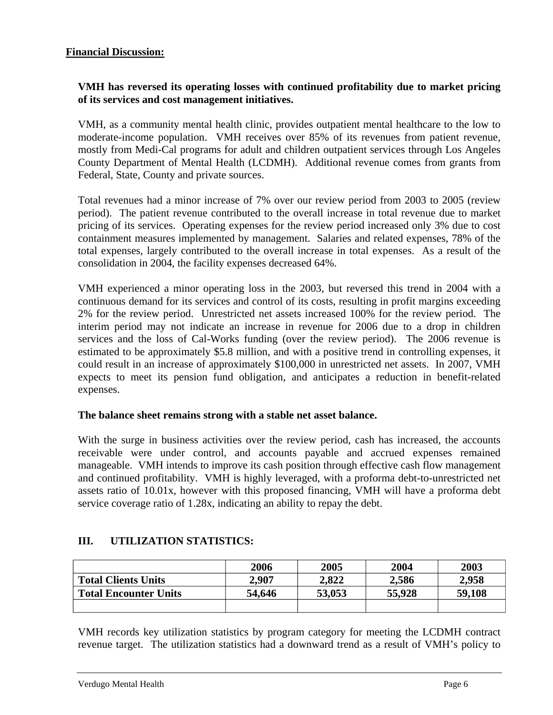## **VMH has reversed its operating losses with continued profitability due to market pricing of its services and cost management initiatives.**

VMH, as a community mental health clinic, provides outpatient mental healthcare to the low to moderate-income population. VMH receives over 85% of its revenues from patient revenue, mostly from Medi-Cal programs for adult and children outpatient services through Los Angeles County Department of Mental Health (LCDMH). Additional revenue comes from grants from Federal, State, County and private sources.

Total revenues had a minor increase of 7% over our review period from 2003 to 2005 (review period). The patient revenue contributed to the overall increase in total revenue due to market pricing of its services. Operating expenses for the review period increased only 3% due to cost containment measures implemented by management. Salaries and related expenses, 78% of the total expenses, largely contributed to the overall increase in total expenses. As a result of the consolidation in 2004, the facility expenses decreased 64%.

VMH experienced a minor operating loss in the 2003, but reversed this trend in 2004 with a continuous demand for its services and control of its costs, resulting in profit margins exceeding 2% for the review period. Unrestricted net assets increased 100% for the review period. The interim period may not indicate an increase in revenue for 2006 due to a drop in children services and the loss of Cal-Works funding (over the review period). The 2006 revenue is estimated to be approximately \$5.8 million, and with a positive trend in controlling expenses, it could result in an increase of approximately \$100,000 in unrestricted net assets. In 2007, VMH expects to meet its pension fund obligation, and anticipates a reduction in benefit-related expenses.

## **The balance sheet remains strong with a stable net asset balance.**

With the surge in business activities over the review period, cash has increased, the accounts receivable were under control, and accounts payable and accrued expenses remained manageable. VMH intends to improve its cash position through effective cash flow management and continued profitability. VMH is highly leveraged, with a proforma debt-to-unrestricted net assets ratio of 10.01x, however with this proposed financing, VMH will have a proforma debt service coverage ratio of 1.28x, indicating an ability to repay the debt.

# **III. UTILIZATION STATISTICS:**

|                              | 2006   | 2005   | 2004   | 2003   |
|------------------------------|--------|--------|--------|--------|
| <b>Total Clients Units</b>   | 2,907  | 2,822  | 2,586  | 2,958  |
| <b>Total Encounter Units</b> | 54,646 | 53,053 | 55,928 | 59,108 |
|                              |        |        |        |        |

VMH records key utilization statistics by program category for meeting the LCDMH contract revenue target. The utilization statistics had a downward trend as a result of VMH's policy to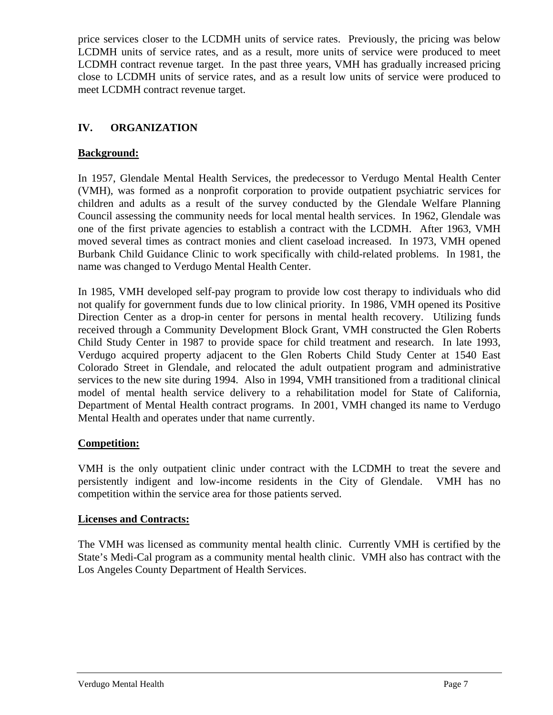price services closer to the LCDMH units of service rates. Previously, the pricing was below LCDMH units of service rates, and as a result, more units of service were produced to meet LCDMH contract revenue target. In the past three years, VMH has gradually increased pricing close to LCDMH units of service rates, and as a result low units of service were produced to meet LCDMH contract revenue target.

# **IV. ORGANIZATION**

# **Background:**

In 1957, Glendale Mental Health Services, the predecessor to Verdugo Mental Health Center (VMH), was formed as a nonprofit corporation to provide outpatient psychiatric services for children and adults as a result of the survey conducted by the Glendale Welfare Planning Council assessing the community needs for local mental health services. In 1962, Glendale was one of the first private agencies to establish a contract with the LCDMH. After 1963, VMH moved several times as contract monies and client caseload increased. In 1973, VMH opened Burbank Child Guidance Clinic to work specifically with child-related problems. In 1981, the name was changed to Verdugo Mental Health Center.

In 1985, VMH developed self-pay program to provide low cost therapy to individuals who did not qualify for government funds due to low clinical priority. In 1986, VMH opened its Positive Direction Center as a drop-in center for persons in mental health recovery. Utilizing funds received through a Community Development Block Grant, VMH constructed the Glen Roberts Child Study Center in 1987 to provide space for child treatment and research. In late 1993, Verdugo acquired property adjacent to the Glen Roberts Child Study Center at 1540 East Colorado Street in Glendale, and relocated the adult outpatient program and administrative services to the new site during 1994. Also in 1994, VMH transitioned from a traditional clinical model of mental health service delivery to a rehabilitation model for State of California, Department of Mental Health contract programs. In 2001, VMH changed its name to Verdugo Mental Health and operates under that name currently.

## **Competition:**

VMH is the only outpatient clinic under contract with the LCDMH to treat the severe and persistently indigent and low-income residents in the City of Glendale. VMH has no competition within the service area for those patients served.

## **Licenses and Contracts:**

The VMH was licensed as community mental health clinic. Currently VMH is certified by the State's Medi-Cal program as a community mental health clinic. VMH also has contract with the Los Angeles County Department of Health Services.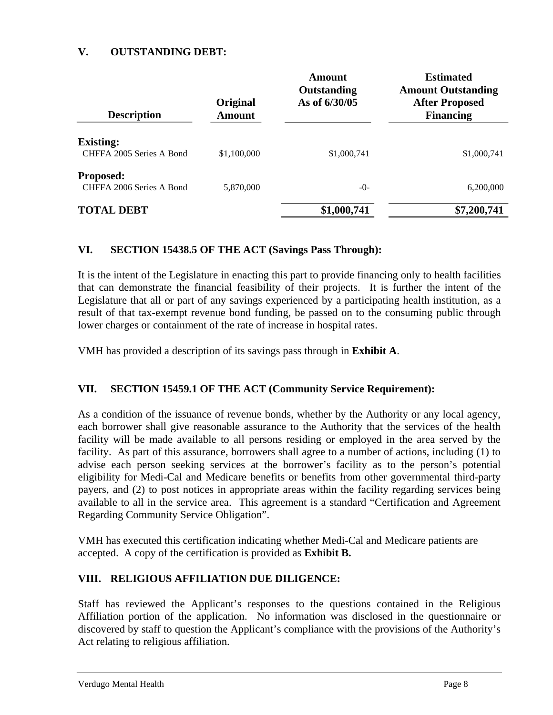### **V. OUTSTANDING DEBT:**

| <b>Description</b>                           | Original<br><b>Amount</b> | Amount<br>Outstanding<br>As of 6/30/05 | <b>Estimated</b><br><b>Amount Outstanding</b><br><b>After Proposed</b><br><b>Financing</b> |
|----------------------------------------------|---------------------------|----------------------------------------|--------------------------------------------------------------------------------------------|
| <b>Existing:</b><br>CHFFA 2005 Series A Bond | \$1,100,000               | \$1,000,741                            | \$1,000,741                                                                                |
| <b>Proposed:</b><br>CHFFA 2006 Series A Bond | 5,870,000                 | $-()$                                  | 6,200,000                                                                                  |
| <b>TOTAL DEBT</b>                            |                           | \$1,000,741                            | \$7,200,741                                                                                |

### **VI. SECTION 15438.5 OF THE ACT (Savings Pass Through):**

It is the intent of the Legislature in enacting this part to provide financing only to health facilities that can demonstrate the financial feasibility of their projects. It is further the intent of the Legislature that all or part of any savings experienced by a participating health institution, as a result of that tax-exempt revenue bond funding, be passed on to the consuming public through lower charges or containment of the rate of increase in hospital rates.

VMH has provided a description of its savings pass through in **Exhibit A**.

## **VII. SECTION 15459.1 OF THE ACT (Community Service Requirement):**

As a condition of the issuance of revenue bonds, whether by the Authority or any local agency, each borrower shall give reasonable assurance to the Authority that the services of the health facility will be made available to all persons residing or employed in the area served by the facility. As part of this assurance, borrowers shall agree to a number of actions, including (1) to advise each person seeking services at the borrower's facility as to the person's potential eligibility for Medi-Cal and Medicare benefits or benefits from other governmental third-party payers, and (2) to post notices in appropriate areas within the facility regarding services being available to all in the service area. This agreement is a standard "Certification and Agreement Regarding Community Service Obligation".

VMH has executed this certification indicating whether Medi-Cal and Medicare patients are accepted. A copy of the certification is provided as **Exhibit B.** 

## **VIII. RELIGIOUS AFFILIATION DUE DILIGENCE:**

Staff has reviewed the Applicant's responses to the questions contained in the Religious Affiliation portion of the application. No information was disclosed in the questionnaire or discovered by staff to question the Applicant's compliance with the provisions of the Authority's Act relating to religious affiliation.